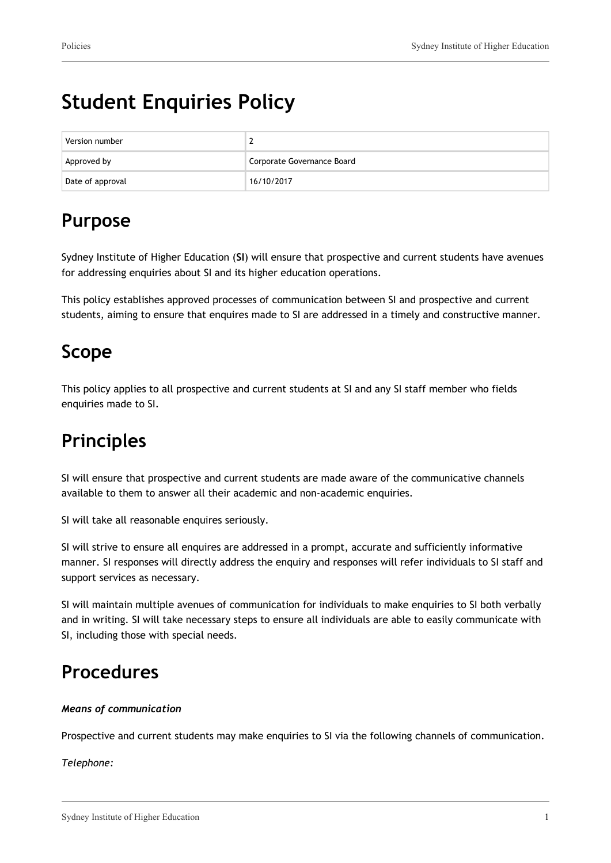# **Student Enquiries Policy**

| Version number   |                            |  |
|------------------|----------------------------|--|
| Approved by      | Corporate Governance Board |  |
| Date of approval | 16/10/2017                 |  |

## **Purpose**

Sydney Institute of Higher Education (**SI**) will ensure that prospective and current students have avenues for addressing enquiries about SI and its higher education operations.

This policy establishes approved processes of communication between SI and prospective and current students, aiming to ensure that enquires made to SI are addressed in a timely and constructive manner.

### **Scope**

This policy applies to all prospective and current students at SI and any SI staff member who fields enquiries made to SI.

## **Principles**

SI will ensure that prospective and current students are made aware of the communicative channels available to them to answer all their academic and non-academic enquiries.

SI will take all reasonable enquires seriously.

SI will strive to ensure all enquires are addressed in a prompt, accurate and sufficiently informative manner. SI responses will directly address the enquiry and responses will refer individuals to SI staff and support services as necessary.

SI will maintain multiple avenues of communication for individuals to make enquiries to SI both verbally and in writing. SI will take necessary steps to ensure all individuals are able to easily communicate with SI, including those with special needs.

### **Procedures**

#### *Means of communication*

Prospective and current students may make enquiries to SI via the following channels of communication.

*Telephone:*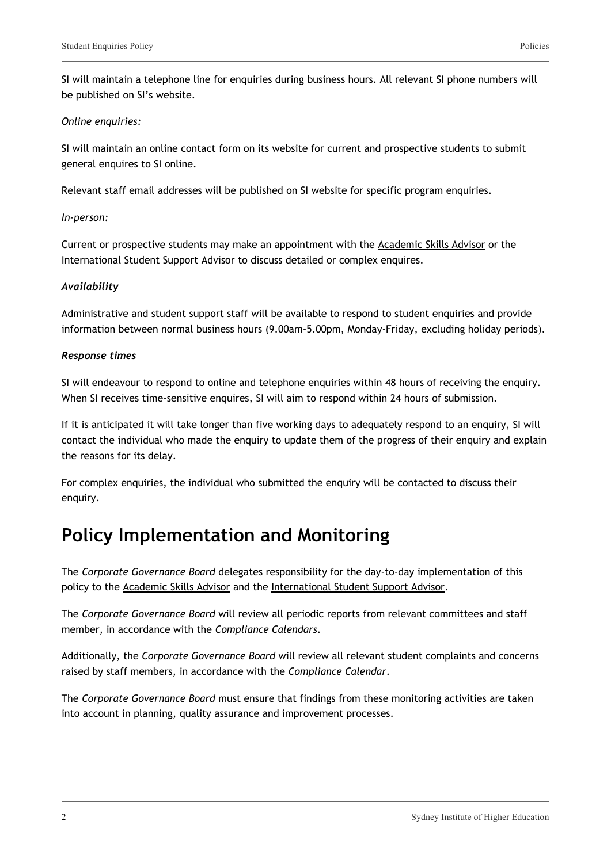SI will maintain a telephone line for enquiries during business hours. All relevant SI phone numbers will be published on SI's website.

#### *Online enquiries:*

SI will maintain an online contact form on its website for current and prospective students to submit general enquires to SI online.

Relevant staff email addresses will be published on SI website for specific program enquiries.

#### *In-person:*

Current or prospective students may make an appointment with the Academic Skills Advisor or the International Student Support Advisor to discuss detailed or complex enquires.

#### *Availability*

Administrative and student support staff will be available to respond to student enquiries and provide information between normal business hours (9.00am-5.00pm, Monday-Friday, excluding holiday periods).

#### *Response times*

SI will endeavour to respond to online and telephone enquiries within 48 hours of receiving the enquiry. When SI receives time-sensitive enquires, SI will aim to respond within 24 hours of submission.

If it is anticipated it will take longer than five working days to adequately respond to an enquiry, SI will contact the individual who made the enquiry to update them of the progress of their enquiry and explain the reasons for its delay.

For complex enquiries, the individual who submitted the enquiry will be contacted to discuss their enquiry.

### **Policy Implementation and Monitoring**

The *Corporate Governance Board* delegates responsibility for the day-to-day implementation of this policy to the Academic Skills Advisor and the International Student Support Advisor.

The *Corporate Governance Board* will review all periodic reports from relevant committees and staff member, in accordance with the *Compliance Calendars*.

Additionally, the *Corporate Governance Board* will review all relevant student complaints and concerns raised by staff members, in accordance with the *Compliance Calendar*.

The *Corporate Governance Board* must ensure that findings from these monitoring activities are taken into account in planning, quality assurance and improvement processes.